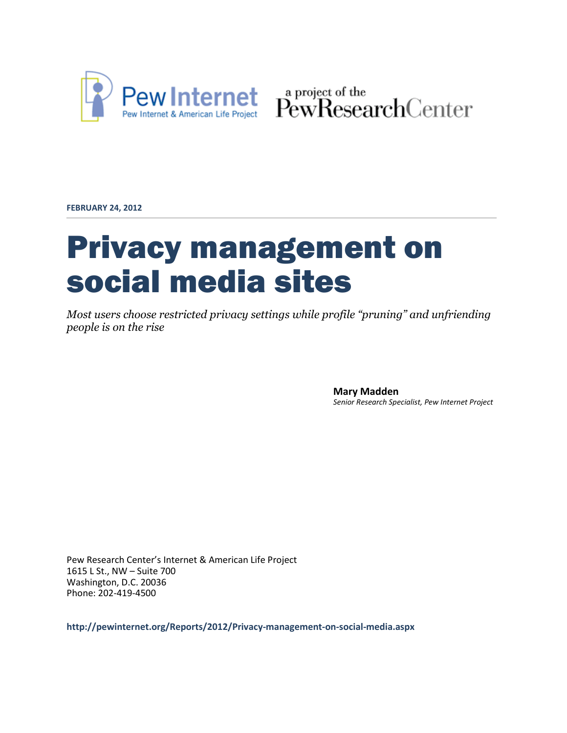

Pew Internet & American Life Project PewResearchCenter

**FEBRUARY 24, 2012**

# Privacy management on social media sites

*Most users choose restricted privacy settings while profile "pruning" and unfriending people is on the rise*

> **Mary Madden** *Senior Research Specialist, Pew Internet Project*

Pew Research Center's Internet & American Life Project 1615 L St., NW – Suite 700 Washington, D.C. 20036 Phone: 202-419-4500

**http://pewinternet.org/Reports/2012/Privacy-management-on-social-media.aspx**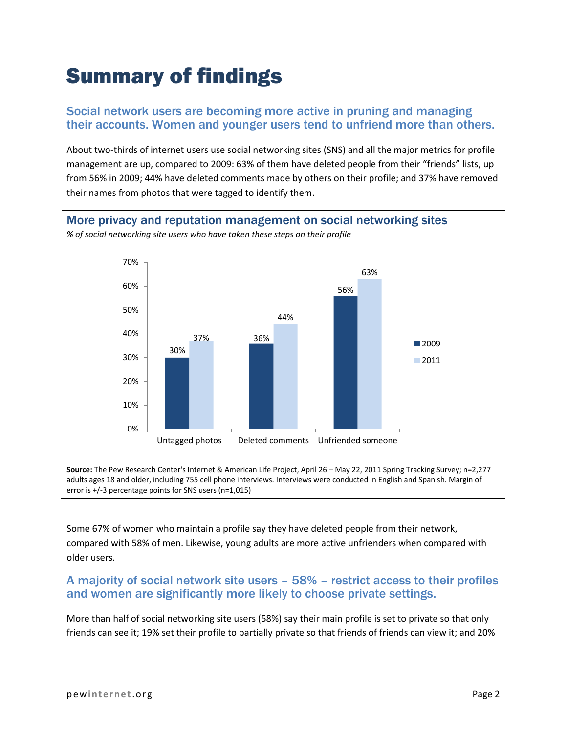# Summary of findings

#### Social network users are becoming more active in pruning and managing their accounts. Women and younger users tend to unfriend more than others.

About two-thirds of internet users use social networking sites (SNS) and all the major metrics for profile management are up, compared to 2009: 63% of them have deleted people from their "friends" lists, up from 56% in 2009; 44% have deleted comments made by others on their profile; and 37% have removed their names from photos that were tagged to identify them.

#### More privacy and reputation management on social networking sites

30% 36% 56% 37% 44% 63% 0% 10% 20% 30% 40% 50% 60% 70% Untagged photos Deleted comments Unfriended someone ■2009 ■2011

*% of social networking site users who have taken these steps on their profile*

**Source:** The Pew Research Center's Internet & American Life Project, April 26 – May 22, 2011 Spring Tracking Survey; n=2,277 adults ages 18 and older, including 755 cell phone interviews. Interviews were conducted in English and Spanish. Margin of error is +/-3 percentage points for SNS users (n=1,015)

Some 67% of women who maintain a profile say they have deleted people from their network, compared with 58% of men. Likewise, young adults are more active unfrienders when compared with older users.

#### A majority of social network site users – 58% – restrict access to their profiles and women are significantly more likely to choose private settings.

More than half of social networking site users (58%) say their main profile is set to private so that only friends can see it; 19% set their profile to partially private so that friends of friends can view it; and 20%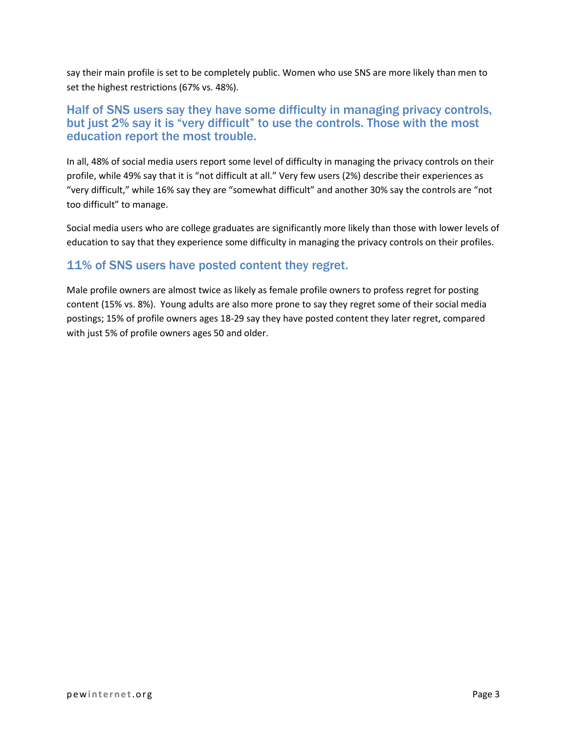say their main profile is set to be completely public. Women who use SNS are more likely than men to set the highest restrictions (67% vs. 48%).

#### Half of SNS users say they have some difficulty in managing privacy controls, but just 2% say it is "very difficult" to use the controls. Those with the most education report the most trouble.

In all, 48% of social media users report some level of difficulty in managing the privacy controls on their profile, while 49% say that it is "not difficult at all." Very few users (2%) describe their experiences as "very difficult," while 16% say they are "somewhat difficult" and another 30% say the controls are "not too difficult" to manage.

Social media users who are college graduates are significantly more likely than those with lower levels of education to say that they experience some difficulty in managing the privacy controls on their profiles.

### 11% of SNS users have posted content they regret.

Male profile owners are almost twice as likely as female profile owners to profess regret for posting content (15% vs. 8%). Young adults are also more prone to say they regret some of their social media postings; 15% of profile owners ages 18-29 say they have posted content they later regret, compared with just 5% of profile owners ages 50 and older.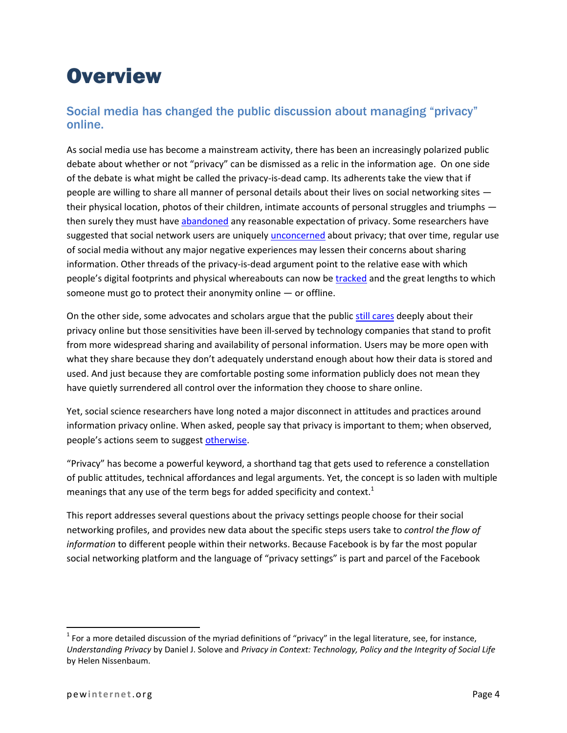## **Overview**

### Social media has changed the public discussion about managing "privacy" online.

As social media use has become a mainstream activity, there has been an increasingly polarized public debate about whether or not "privacy" can be dismissed as a relic in the information age. On one side of the debate is what might be called the privacy-is-dead camp. Its adherents take the view that if people are willing to share all manner of personal details about their lives on social networking sites their physical location, photos of their children, intimate accounts of personal struggles and triumphs then surely they must have [abandoned](http://www.readwriteweb.com/archives/facebooks_zuckerberg_says_the_age_of_privacy_is_ov.php) any reasonable expectation of privacy. Some researchers have suggested that social network users are uniquely *unconcerned* about privacy; that over time, regular use of social media without any major negative experiences may lessen their concerns about sharing information. Other threads of the privacy-is-dead argument point to the relative ease with which people's digital footprints and physical whereabouts can now b[e tracked](http://query.nytimes.com/gst/fullpage.html?res=9D02E2D9163BF931A25751C1A9679D8B63&ref=privacy) and the great lengths to which someone must go to protect their anonymity online  $-$  or offline.

On the other side, some advocates and scholars argue that the public [still cares](http://www.danah.org/papers/talks/2010/SXSW2010.html) deeply about their privacy online but those sensitivities have been ill-served by technology companies that stand to profit from more widespread sharing and availability of personal information. Users may be more open with what they share because they don't adequately understand enough about how their data is stored and used. And just because they are comfortable posting some information publicly does not mean they have quietly surrendered all control over the information they choose to share online.

Yet, social science researchers have long noted a major disconnect in attitudes and practices around information privacy online. When asked, people say that privacy is important to them; when observed, people's actions seem to sugges[t otherwise.](http://onlinelibrary.wiley.com/doi/10.1111/j.1745-6606.2006.00070.x/abstract)

"Privacy" has become a powerful keyword, a shorthand tag that gets used to reference a constellation of public attitudes, technical affordances and legal arguments. Yet, the concept is so laden with multiple meanings that any use of the term begs for added specificity and context.<sup>1</sup>

This report addresses several questions about the privacy settings people choose for their social networking profiles, and provides new data about the specific steps users take to *control the flow of information* to different people within their networks. Because Facebook is by far the most popular social networking platform and the language of "privacy settings" is part and parcel of the Facebook

 $1$  For a more detailed discussion of the myriad definitions of "privacy" in the legal literature, see, for instance, *Understanding Privacy* by Daniel J. Solove and *Privacy in Context: Technology, Policy and the Integrity of Social Life* by Helen Nissenbaum.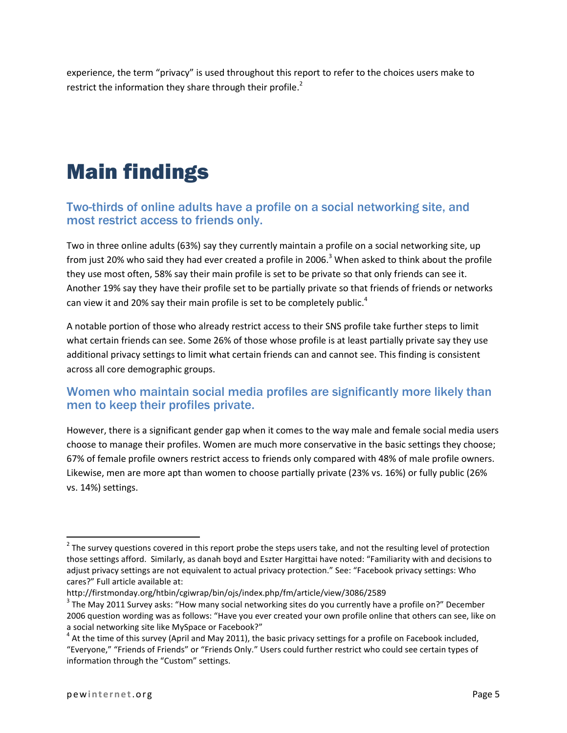experience, the term "privacy" is used throughout this report to refer to the choices users make to restrict the information they share through their profile.<sup>2</sup>

# Main findings

#### Two-thirds of online adults have a profile on a social networking site, and most restrict access to friends only.

Two in three online adults (63%) say they currently maintain a profile on a social networking site, up from just 20% who said they had ever created a profile in 2006.<sup>3</sup> When asked to think about the profile they use most often, 58% say their main profile is set to be private so that only friends can see it. Another 19% say they have their profile set to be partially private so that friends of friends or networks can view it and 20% say their main profile is set to be completely public.<sup>4</sup>

A notable portion of those who already restrict access to their SNS profile take further steps to limit what certain friends can see. Some 26% of those whose profile is at least partially private say they use additional privacy settings to limit what certain friends can and cannot see. This finding is consistent across all core demographic groups.

### Women who maintain social media profiles are significantly more likely than men to keep their profiles private.

However, there is a significant gender gap when it comes to the way male and female social media users choose to manage their profiles. Women are much more conservative in the basic settings they choose; 67% of female profile owners restrict access to friends only compared with 48% of male profile owners. Likewise, men are more apt than women to choose partially private (23% vs. 16%) or fully public (26% vs. 14%) settings.

 $\overline{a}$ 

 $2$  The survey questions covered in this report probe the steps users take, and not the resulting level of protection those settings afford. Similarly, as danah boyd and Eszter Hargittai have noted: "Familiarity with and decisions to adjust privacy settings are not equivalent to actual privacy protection." See: "Facebook privacy settings: Who cares?" Full article available at:

http://firstmonday.org/htbin/cgiwrap/bin/ojs/index.php/fm/article/view/3086/2589

 $3$  The May 2011 Survey asks: "How many social networking sites do you currently have a profile on?" December 2006 question wording was as follows: "Have you ever created your own profile online that others can see, like on a social networking site like MySpace or Facebook?"

 $^4$  At the time of this survey (April and May 2011), the basic privacy settings for a profile on Facebook included, "Everyone," "Friends of Friends" or "Friends Only." Users could further restrict who could see certain types of information through the "Custom" settings.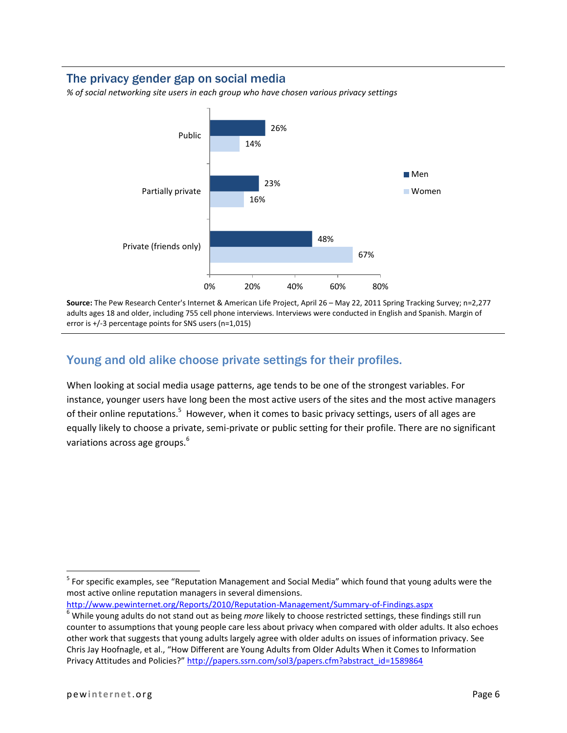#### The privacy gender gap on social media

*% of social networking site users in each group who have chosen various privacy settings*



**Source:** The Pew Research Center's Internet & American Life Project, April 26 – May 22, 2011 Spring Tracking Survey; n=2,277 adults ages 18 and older, including 755 cell phone interviews. Interviews were conducted in English and Spanish. Margin of error is +/-3 percentage points for SNS users (n=1,015)

### Young and old alike choose private settings for their profiles.

When looking at social media usage patterns, age tends to be one of the strongest variables. For instance, younger users have long been the most active users of the sites and the most active managers of their online reputations.<sup>5</sup> However, when it comes to basic privacy settings, users of all ages are equally likely to choose a private, semi-private or public setting for their profile. There are no significant variations across age groups. 6

<http://www.pewinternet.org/Reports/2010/Reputation-Management/Summary-of-Findings.aspx>

<sup>&</sup>lt;sup>5</sup> For specific examples, see "Reputation Management and Social Media" which found that young adults were the most active online reputation managers in several dimensions.

<sup>6</sup> While young adults do not stand out as being *more* likely to choose restricted settings, these findings still run counter to assumptions that young people care less about privacy when compared with older adults. It also echoes other work that suggests that young adults largely agree with older adults on issues of information privacy. See Chris Jay Hoofnagle, et al., "How Different are Young Adults from Older Adults When it Comes to Information Privacy Attitudes and Policies?" [http://papers.ssrn.com/sol3/papers.cfm?abstract\\_id=1589864](http://papers.ssrn.com/sol3/papers.cfm?abstract_id=1589864)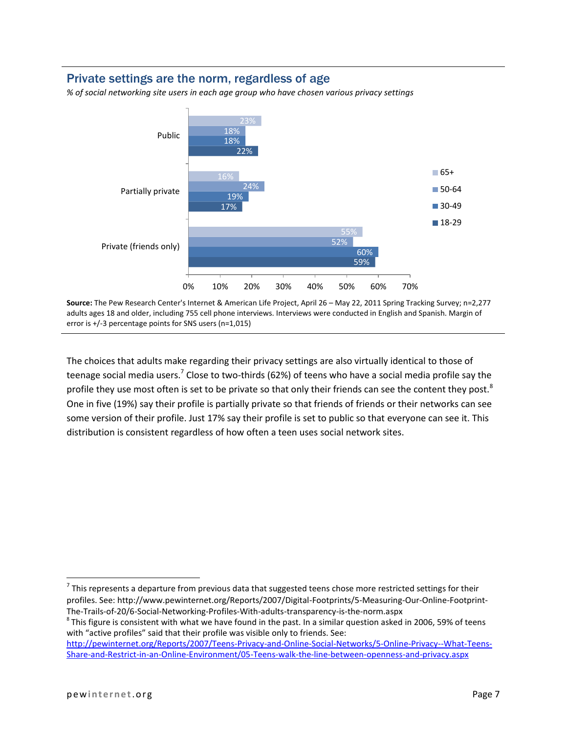#### Private settings are the norm, regardless of age

*% of social networking site users in each age group who have chosen various privacy settings*



**Source:** The Pew Research Center's Internet & American Life Project, April 26 – May 22, 2011 Spring Tracking Survey; n=2,277 adults ages 18 and older, including 755 cell phone interviews. Interviews were conducted in English and Spanish. Margin of error is +/-3 percentage points for SNS users (n=1,015)

The choices that adults make regarding their privacy settings are also virtually identical to those of teenage social media users.<sup>7</sup> Close to two-thirds (62%) of teens who have a social media profile say the profile they use most often is set to be private so that only their friends can see the content they post.<sup>8</sup> One in five (19%) say their profile is partially private so that friends of friends or their networks can see some version of their profile. Just 17% say their profile is set to public so that everyone can see it. This distribution is consistent regardless of how often a teen uses social network sites.

 $^8$ This figure is consistent with what we have found in the past. In a similar question asked in 2006, 59% of teens with "active profiles" said that their profile was visible only to friends. See:

[http://pewinternet.org/Reports/2007/Teens-Privacy-and-Online-Social-Networks/5-Online-Privacy--What-Teens-](http://pewinternet.org/Reports/2007/Teens-Privacy-and-Online-Social-Networks/5-Online-Privacy--What-Teens-Share-and-Restrict-in-an-Online-Environment/05-Teens-walk-the-line-between-openness-and-privacy.aspx)[Share-and-Restrict-in-an-Online-Environment/05-Teens-walk-the-line-between-openness-and-privacy.aspx](http://pewinternet.org/Reports/2007/Teens-Privacy-and-Online-Social-Networks/5-Online-Privacy--What-Teens-Share-and-Restrict-in-an-Online-Environment/05-Teens-walk-the-line-between-openness-and-privacy.aspx)

 $^7$  This represents a departure from previous data that suggested teens chose more restricted settings for their profiles. See: http://www.pewinternet.org/Reports/2007/Digital-Footprints/5-Measuring-Our-Online-Footprint-The-Trails-of-20/6-Social-Networking-Profiles-With-adults-transparency-is-the-norm.aspx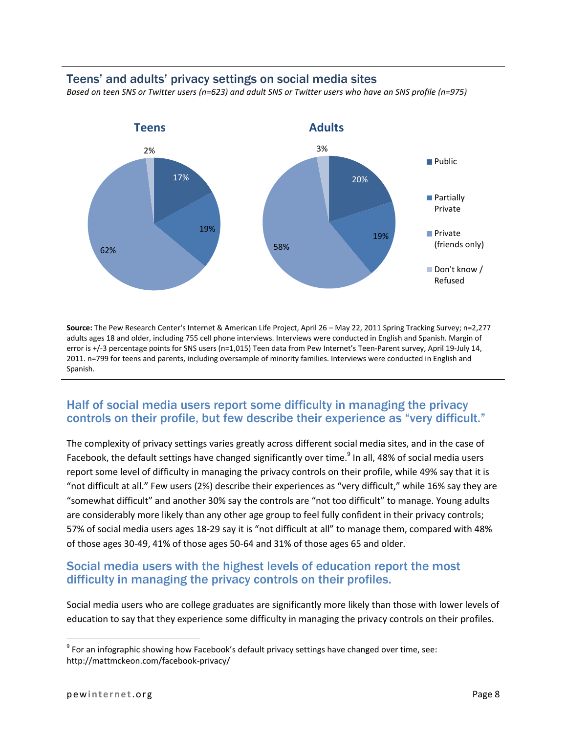#### Teens' and adults' privacy settings on social media sites

*Based on teen SNS or Twitter users (n=623) and adult SNS or Twitter users who have an SNS profile (n=975)*



**Source:** The Pew Research Center's Internet & American Life Project, April 26 – May 22, 2011 Spring Tracking Survey; n=2,277 adults ages 18 and older, including 755 cell phone interviews. Interviews were conducted in English and Spanish. Margin of error is +/-3 percentage points for SNS users (n=1,015) Teen data from Pew Internet's Teen-Parent survey, April 19-July 14, 2011. n=799 for teens and parents, including oversample of minority families. Interviews were conducted in English and Spanish.

#### Half of social media users report some difficulty in managing the privacy controls on their profile, but few describe their experience as "very difficult."

The complexity of privacy settings varies greatly across different social media sites, and in the case of Facebook, the default settings have changed significantly over time.<sup>9</sup> In all, 48% of social media users report some level of difficulty in managing the privacy controls on their profile, while 49% say that it is "not difficult at all." Few users (2%) describe their experiences as "very difficult," while 16% say they are "somewhat difficult" and another 30% say the controls are "not too difficult" to manage. Young adults are considerably more likely than any other age group to feel fully confident in their privacy controls; 57% of social media users ages 18-29 say it is "not difficult at all" to manage them, compared with 48% of those ages 30-49, 41% of those ages 50-64 and 31% of those ages 65 and older.

#### Social media users with the highest levels of education report the most difficulty in managing the privacy controls on their profiles.

Social media users who are college graduates are significantly more likely than those with lower levels of education to say that they experience some difficulty in managing the privacy controls on their profiles.

 $^9$  For an infographic showing how Facebook's default privacy settings have changed over time, see: http://mattmckeon.com/facebook-privacy/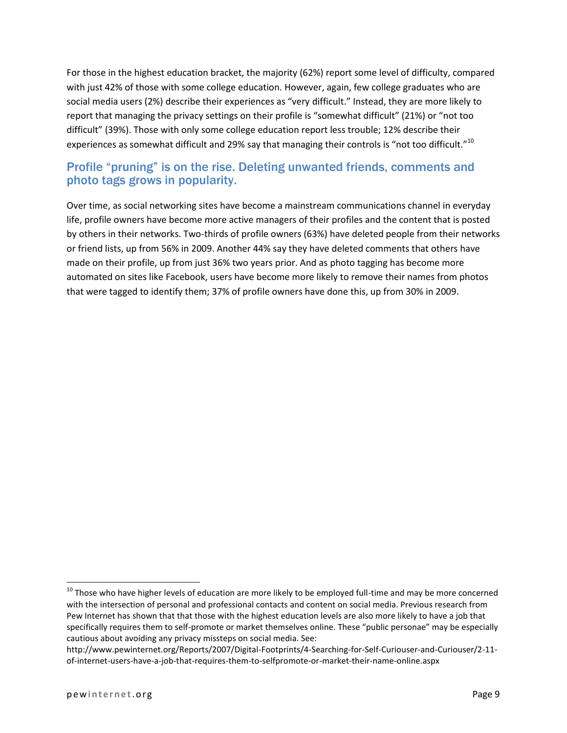For those in the highest education bracket, the majority (62%) report some level of difficulty, compared with just 42% of those with some college education. However, again, few college graduates who are social media users (2%) describe their experiences as "very difficult." Instead, they are more likely to report that managing the privacy settings on their profile is "somewhat difficult" (21%) or "not too difficult" (39%). Those with only some college education report less trouble; 12% describe their experiences as somewhat difficult and 29% say that managing their controls is "not too difficult."<sup>10</sup>

### Profile "pruning" is on the rise. Deleting unwanted friends, comments and photo tags grows in popularity.

Over time, as social networking sites have become a mainstream communications channel in everyday life, profile owners have become more active managers of their profiles and the content that is posted by others in their networks. Two-thirds of profile owners (63%) have deleted people from their networks or friend lists, up from 56% in 2009. Another 44% say they have deleted comments that others have made on their profile, up from just 36% two years prior. And as photo tagging has become more automated on sites like Facebook, users have become more likely to remove their names from photos that were tagged to identify them; 37% of profile owners have done this, up from 30% in 2009.

 $^{10}$  Those who have higher levels of education are more likely to be employed full-time and may be more concerned with the intersection of personal and professional contacts and content on social media. Previous research from Pew Internet has shown that that those with the highest education levels are also more likely to have a job that specifically requires them to self-promote or market themselves online. These "public personae" may be especially cautious about avoiding any privacy missteps on social media. See:

http://www.pewinternet.org/Reports/2007/Digital-Footprints/4-Searching-for-Self-Curiouser-and-Curiouser/2-11 of-internet-users-have-a-job-that-requires-them-to-selfpromote-or-market-their-name-online.aspx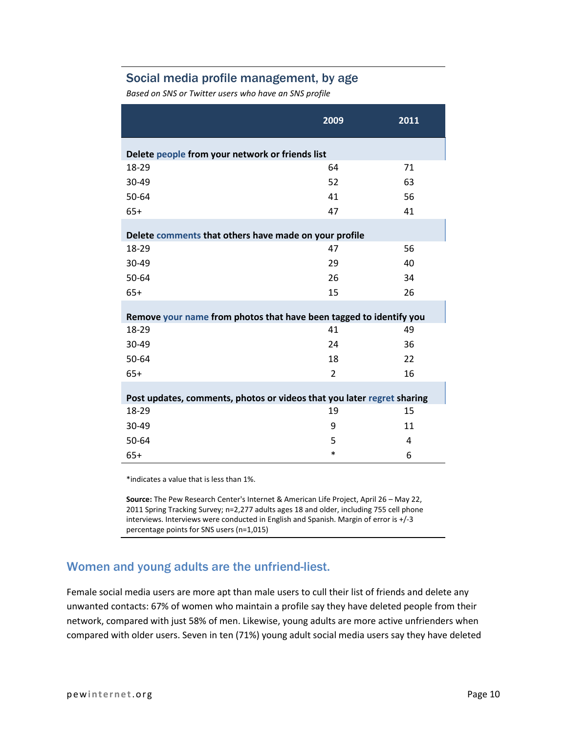#### Social media profile management, by age

*Based on SNS or Twitter users who have an SNS profile*

|                                                                        | 2009           | 2011 |  |
|------------------------------------------------------------------------|----------------|------|--|
| Delete people from your network or friends list                        |                |      |  |
| 18-29                                                                  | 64             | 71   |  |
| 30-49                                                                  | 52             | 63   |  |
| 50-64                                                                  | 41             | 56   |  |
| $65+$                                                                  | 47             | 41   |  |
| Delete comments that others have made on your profile                  |                |      |  |
| 18-29                                                                  | 47             | 56   |  |
| 30-49                                                                  | 29             | 40   |  |
| 50-64                                                                  | 26             | 34   |  |
| $65+$                                                                  | 15             | 26   |  |
| Remove your name from photos that have been tagged to identify you     |                |      |  |
| 18-29                                                                  | 41             | 49   |  |
| 30-49                                                                  | 24             | 36   |  |
| 50-64                                                                  | 18             | 22   |  |
| $65+$                                                                  | $\overline{2}$ | 16   |  |
| Post updates, comments, photos or videos that you later regret sharing |                |      |  |
| 18-29                                                                  | 19             | 15   |  |
| 30-49                                                                  | 9              | 11   |  |
| 50-64                                                                  | 5              | 4    |  |
| $65+$                                                                  | $\ast$         | 6    |  |

\*indicates a value that is less than 1%.

**Source:** The Pew Research Center's Internet & American Life Project, April 26 – May 22, 2011 Spring Tracking Survey; n=2,277 adults ages 18 and older, including 755 cell phone interviews. Interviews were conducted in English and Spanish. Margin of error is +/-3 percentage points for SNS users (n=1,015)

### Women and young adults are the unfriend-liest.

Female social media users are more apt than male users to cull their list of friends and delete any unwanted contacts: 67% of women who maintain a profile say they have deleted people from their network, compared with just 58% of men. Likewise, young adults are more active unfrienders when compared with older users. Seven in ten (71%) young adult social media users say they have deleted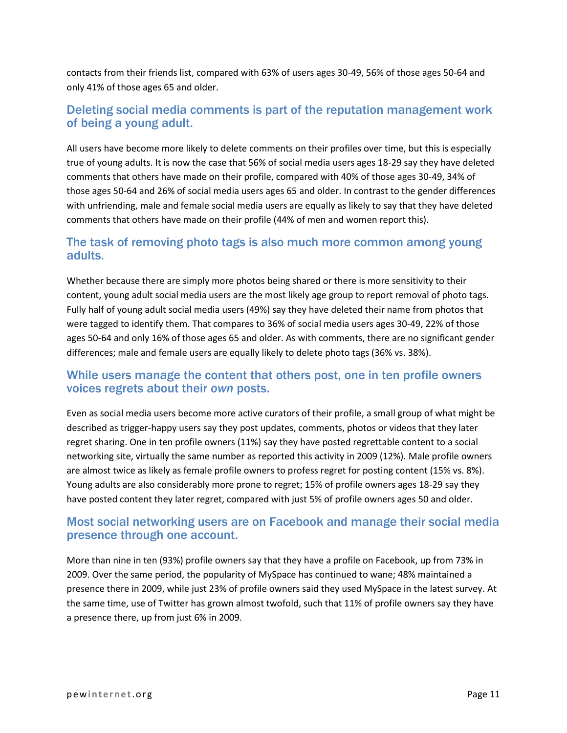contacts from their friends list, compared with 63% of users ages 30-49, 56% of those ages 50-64 and only 41% of those ages 65 and older.

### Deleting social media comments is part of the reputation management work of being a young adult.

All users have become more likely to delete comments on their profiles over time, but this is especially true of young adults. It is now the case that 56% of social media users ages 18-29 say they have deleted comments that others have made on their profile, compared with 40% of those ages 30-49, 34% of those ages 50-64 and 26% of social media users ages 65 and older. In contrast to the gender differences with unfriending, male and female social media users are equally as likely to say that they have deleted comments that others have made on their profile (44% of men and women report this).

#### The task of removing photo tags is also much more common among young adults.

Whether because there are simply more photos being shared or there is more sensitivity to their content, young adult social media users are the most likely age group to report removal of photo tags. Fully half of young adult social media users (49%) say they have deleted their name from photos that were tagged to identify them. That compares to 36% of social media users ages 30-49, 22% of those ages 50-64 and only 16% of those ages 65 and older. As with comments, there are no significant gender differences; male and female users are equally likely to delete photo tags (36% vs. 38%).

#### While users manage the content that others post, one in ten profile owners voices regrets about their *own* posts.

Even as social media users become more active curators of their profile, a small group of what might be described as trigger-happy users say they post updates, comments, photos or videos that they later regret sharing. One in ten profile owners (11%) say they have posted regrettable content to a social networking site, virtually the same number as reported this activity in 2009 (12%). Male profile owners are almost twice as likely as female profile owners to profess regret for posting content (15% vs. 8%). Young adults are also considerably more prone to regret; 15% of profile owners ages 18-29 say they have posted content they later regret, compared with just 5% of profile owners ages 50 and older.

#### Most social networking users are on Facebook and manage their social media presence through one account.

More than nine in ten (93%) profile owners say that they have a profile on Facebook, up from 73% in 2009. Over the same period, the popularity of MySpace has continued to wane; 48% maintained a presence there in 2009, while just 23% of profile owners said they used MySpace in the latest survey. At the same time, use of Twitter has grown almost twofold, such that 11% of profile owners say they have a presence there, up from just 6% in 2009.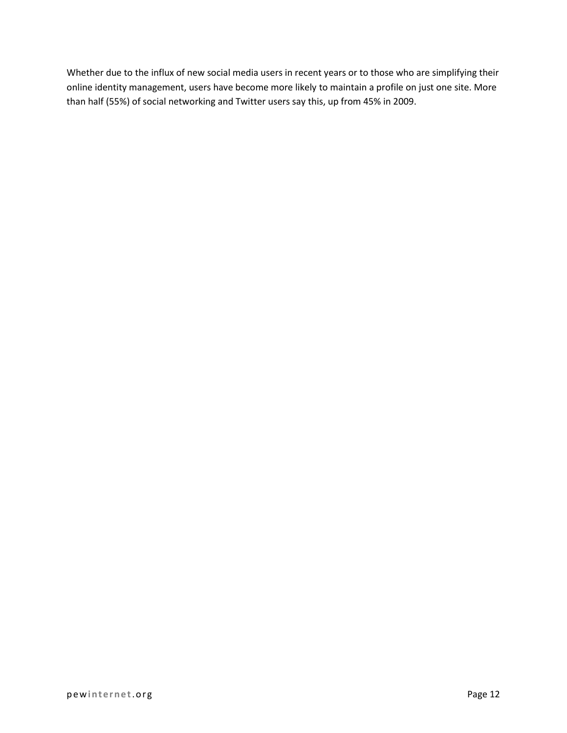Whether due to the influx of new social media users in recent years or to those who are simplifying their online identity management, users have become more likely to maintain a profile on just one site. More than half (55%) of social networking and Twitter users say this, up from 45% in 2009.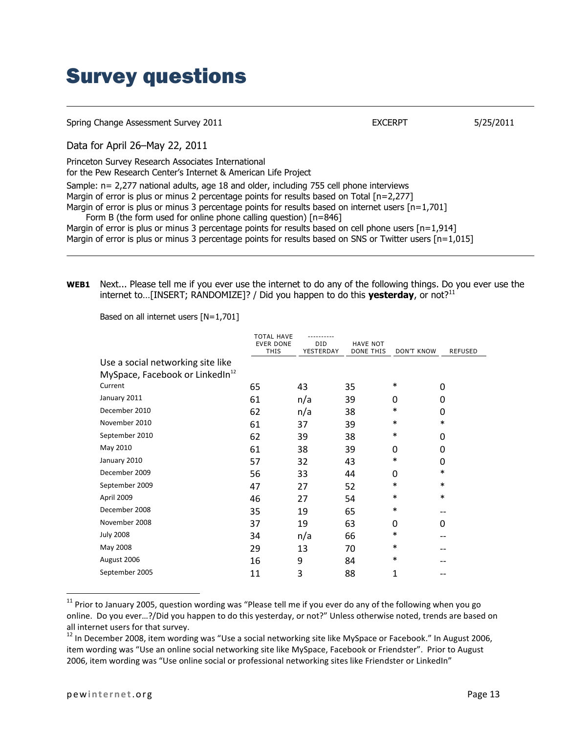### Survey questions

| Spring Change Assessment Survey 2011                                                                                                                                                                                                                                                                                                                                                                                                                                                                                                                                                         | <b>EXCERPT</b> | 5/25/2011 |
|----------------------------------------------------------------------------------------------------------------------------------------------------------------------------------------------------------------------------------------------------------------------------------------------------------------------------------------------------------------------------------------------------------------------------------------------------------------------------------------------------------------------------------------------------------------------------------------------|----------------|-----------|
| Data for April 26-May 22, 2011                                                                                                                                                                                                                                                                                                                                                                                                                                                                                                                                                               |                |           |
| Princeton Survey Research Associates International<br>for the Pew Research Center's Internet & American Life Project                                                                                                                                                                                                                                                                                                                                                                                                                                                                         |                |           |
| Sample: n= 2,277 national adults, age 18 and older, including 755 cell phone interviews<br>Margin of error is plus or minus 2 percentage points for results based on Total $[n=2,277]$<br>Margin of error is plus or minus 3 percentage points for results based on internet users $[n=1,701]$<br>Form B (the form used for online phone calling question) $[n=846]$<br>Margin of error is plus or minus 3 percentage points for results based on cell phone users $[n=1,914]$<br>Margin of error is plus or minus 3 percentage points for results based on SNS or Twitter users $[n=1,015]$ |                |           |

**WEB1** Next... Please tell me if you ever use the internet to do any of the following things. Do you ever use the internet to...[INSERT; RANDOMIZE]? / Did you happen to do this **yesterday**, or not?<sup>11</sup>

Based on all internet users [N=1,701]

|                                             | <b>TOTAL HAVE</b><br><b>EVER DONE</b> | ----------<br><b>DID</b> | <b>HAVE NOT</b>  |            |         |
|---------------------------------------------|---------------------------------------|--------------------------|------------------|------------|---------|
|                                             | <b>THIS</b>                           | YESTERDAY                | <b>DONE THIS</b> | DON'T KNOW | REFUSED |
| Use a social networking site like           |                                       |                          |                  |            |         |
| MySpace, Facebook or LinkedIn <sup>12</sup> |                                       |                          |                  |            |         |
| Current                                     | 65                                    | 43                       | 35               | $\ast$     | 0       |
| January 2011                                | 61                                    | n/a                      | 39               | 0          | 0       |
| December 2010                               | 62                                    | n/a                      | 38               | $\ast$     | 0       |
| November 2010                               | 61                                    | 37                       | 39               | $\ast$     | $\ast$  |
| September 2010                              | 62                                    | 39                       | 38               | $\ast$     | 0       |
| May 2010                                    | 61                                    | 38                       | 39               | 0          | 0       |
| January 2010                                | 57                                    | 32                       | 43               | $\ast$     | 0       |
| December 2009                               | 56                                    | 33                       | 44               | 0          | $\ast$  |
| September 2009                              | 47                                    | 27                       | 52               | $\ast$     | $\ast$  |
| April 2009                                  | 46                                    | 27                       | 54               | $\ast$     | $\ast$  |
| December 2008                               | 35                                    | 19                       | 65               | $\ast$     |         |
| November 2008                               | 37                                    | 19                       | 63               | 0          | 0       |
| <b>July 2008</b>                            | 34                                    | n/a                      | 66               | $\ast$     |         |
| May 2008                                    | 29                                    | 13                       | 70               | $\ast$     |         |
| August 2006                                 | 16                                    | 9                        | 84               | $\ast$     |         |
| September 2005                              | 11                                    | 3                        | 88               | 1          |         |
|                                             |                                       |                          |                  |            |         |

<sup>&</sup>lt;sup>11</sup> Prior to January 2005, question wording was "Please tell me if you ever do any of the following when you go online. Do you ever…?/Did you happen to do this yesterday, or not?" Unless otherwise noted, trends are based on all internet users for that survey.

 $\overline{a}$ 

<sup>&</sup>lt;sup>12</sup> In December 2008, item wording was "Use a social networking site like MySpace or Facebook." In August 2006, item wording was "Use an online social networking site like MySpace, Facebook or Friendster". Prior to August 2006, item wording was "Use online social or professional networking sites like Friendster or LinkedIn"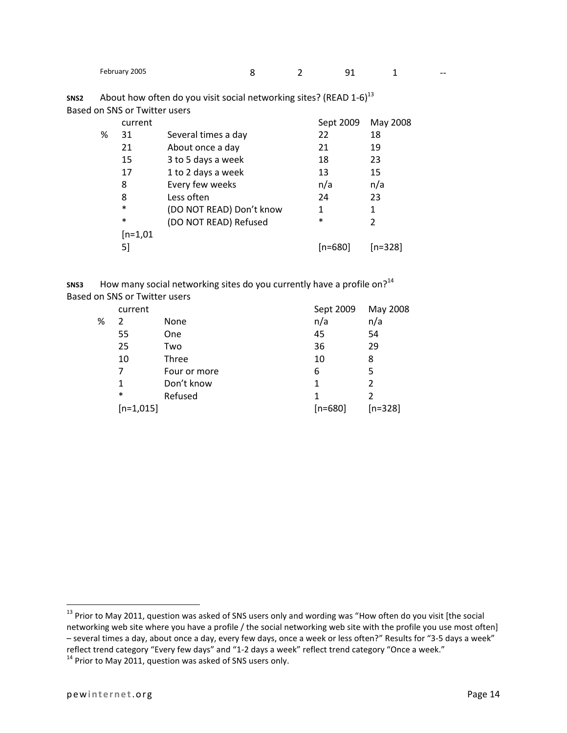| February 2005 |  |
|---------------|--|
|---------------|--|

| SNS <sub>2</sub> | About how often do you visit social networking sites? (READ 1-6) <sup>13</sup> |
|------------------|--------------------------------------------------------------------------------|
|                  | Based on SNS or Twitter users                                                  |

|   | current    |                          | Sept 2009 | May 2008 |
|---|------------|--------------------------|-----------|----------|
| ℅ | 31         | Several times a day      | 22        | 18       |
|   | 21         | About once a day         | 21        | 19       |
|   | 15         | 3 to 5 days a week       | 18        | 23       |
|   | 17         | 1 to 2 days a week       | 13        | 15       |
|   | 8          | Every few weeks          | n/a       | n/a      |
|   | 8          | Less often               | 24        | 23       |
|   | $\ast$     | (DO NOT READ) Don't know | 1         | 1        |
|   | $\ast$     | (DO NOT READ) Refused    | $\ast$    | 2        |
|   | $[n=1,01]$ |                          |           |          |
|   | 51         |                          | [n=680]   | [n=328]  |
|   |            |                          |           |          |

sns3 How many social networking sites do you currently have a profile on?<sup>14</sup> Based on SNS or Twitter users

|   | current     |              | Sept 2009 | May 2008  |
|---|-------------|--------------|-----------|-----------|
| % | 2           | None         | n/a       | n/a       |
|   | 55          | One          | 45        | 54        |
|   | 25          | Two          | 36        | 29        |
|   | 10          | Three        | 10        | 8         |
|   | 7           | Four or more | 6         | 5         |
|   | 1           | Don't know   | 1         | 2         |
|   | $\ast$      | Refused      | 1         |           |
|   | $[n=1,015]$ |              | $[n=680]$ | $[n=328]$ |

<sup>&</sup>lt;sup>13</sup> Prior to May 2011, question was asked of SNS users only and wording was "How often do you visit [the social networking web site where you have a profile / the social networking web site with the profile you use most often] – several times a day, about once a day, every few days, once a week or less often?" Results for "3-5 days a week" reflect trend category "Every few days" and "1-2 days a week" reflect trend category "Once a week."

 $14$  Prior to May 2011, question was asked of SNS users only.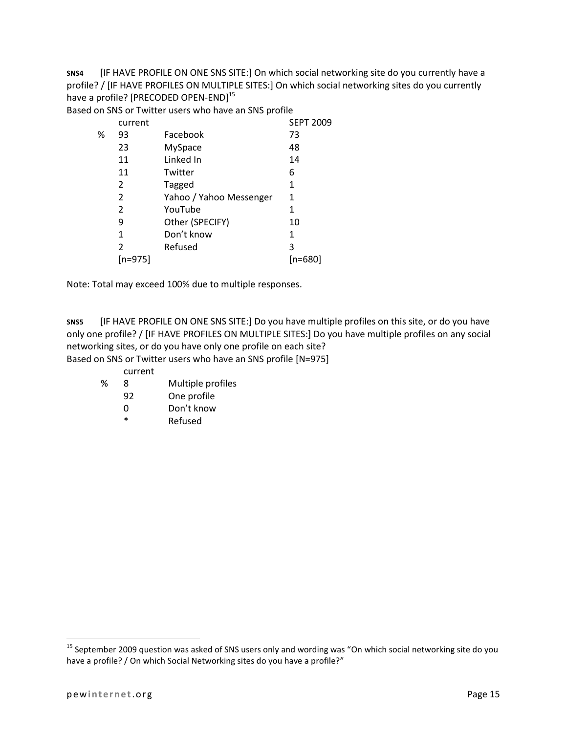**SNS4** [IF HAVE PROFILE ON ONE SNS SITE:] On which social networking site do you currently have a profile? / [IF HAVE PROFILES ON MULTIPLE SITES:] On which social networking sites do you currently have a profile? [PRECODED OPEN-END]<sup>15</sup>

Based on SNS or Twitter users who have an SNS profile

|   | current |                         | <b>SEPT 2009</b> |
|---|---------|-------------------------|------------------|
| ℅ | 93      | Facebook                | 73               |
|   | 23      | <b>MySpace</b>          | 48               |
|   | 11      | Linked In               | 14               |
|   | 11      | Twitter                 | 6                |
|   | 2       | Tagged                  | 1                |
|   | 2       | Yahoo / Yahoo Messenger | 1                |
|   | 2       | YouTube                 | 1                |
|   | 9       | Other (SPECIFY)         | 10               |
|   | 1       | Don't know              | 1                |
|   | 2       | Refused                 | 3                |
|   | [n=975] |                         | [n=680]          |

Note: Total may exceed 100% due to multiple responses.

**SNS5** [IF HAVE PROFILE ON ONE SNS SITE:] Do you have multiple profiles on this site, or do you have only one profile? / [IF HAVE PROFILES ON MULTIPLE SITES:] Do you have multiple profiles on any social networking sites, or do you have only one profile on each site?

Based on SNS or Twitter users who have an SNS profile [N=975]

- current
- % 8 Multiple profiles
	- 92 One profile
	- 0 Don't know
	- \* Refused

<sup>&</sup>lt;sup>15</sup> September 2009 question was asked of SNS users only and wording was "On which social networking site do you have a profile? / On which Social Networking sites do you have a profile?"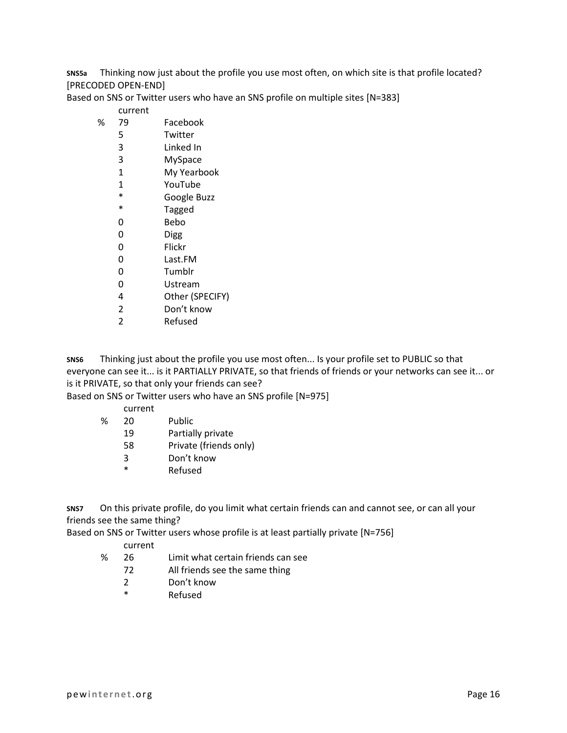**SNS5a** Thinking now just about the profile you use most often, on which site is that profile located? [PRECODED OPEN-END]

Based on SNS or Twitter users who have an SNS profile on multiple sites [N=383]

#### current

- % 79 Facebook
	- 5 Twitter
	- 3 Linked In
	- 3 MySpace
	- 1 My Yearbook
	- 1 YouTube
	- \* Google Buzz<br>\* Tagged
	- **Tagged**
	- 0 Bebo
	- 0 Digg
	- 0 Flickr
	- 0 Last.FM
	- 0 Tumblr
	- 0 Ustream
	- 4 Other (SPECIFY)
	- 2 Don't know
	- 2 Refused

**SNS6** Thinking just about the profile you use most often... Is your profile set to PUBLIC so that everyone can see it... is it PARTIALLY PRIVATE, so that friends of friends or your networks can see it... or is it PRIVATE, so that only your friends can see?

Based on SNS or Twitter users who have an SNS profile [N=975]

- current
- % 20 Public
	- 19 Partially private
	- 58 Private (friends only)
	- 3 Don't know
	- \* Refused

**SNS7** On this private profile, do you limit what certain friends can and cannot see, or can all your friends see the same thing?

Based on SNS or Twitter users whose profile is at least partially private [N=756]

#### current

- % 26 Limit what certain friends can see
	- 72 All friends see the same thing
		- 2 Don't know
		- \* Refused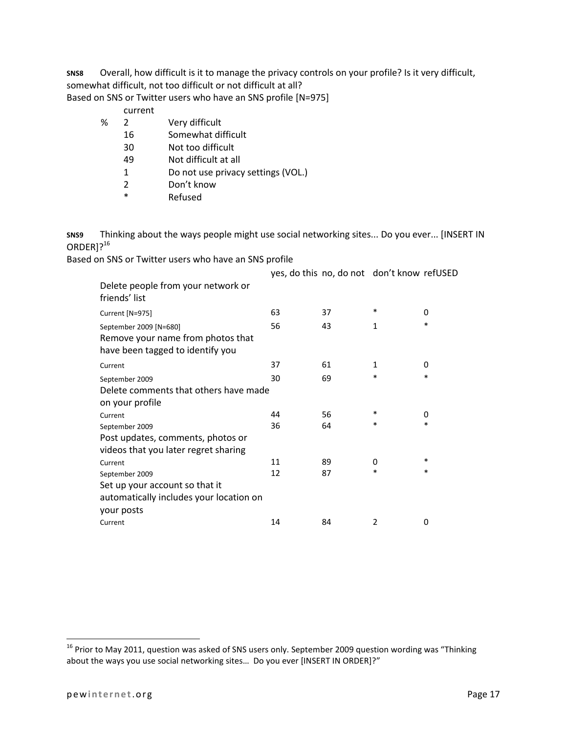**SNS8** Overall, how difficult is it to manage the privacy controls on your profile? Is it very difficult, somewhat difficult, not too difficult or not difficult at all?

Based on SNS or Twitter users who have an SNS profile [N=975]

#### current

- % 2 Very difficult
	- 16 Somewhat difficult
	- 30 Not too difficult
	- 49 Not difficult at all
	- 1 Do not use privacy settings (VOL.)
	- 2 Don't know
	- \* Refused

**SNS9** Thinking about the ways people might use social networking sites... Do you ever... [INSERT IN ORDER<sup>1216</sup>

Based on SNS or Twitter users who have an SNS profile

|                                                                                                 |    |    | yes, do this no, do not don't know refUSED |        |
|-------------------------------------------------------------------------------------------------|----|----|--------------------------------------------|--------|
| Delete people from your network or<br>friends' list                                             |    |    |                                            |        |
| Current [N=975]                                                                                 | 63 | 37 | *                                          | 0      |
| September 2009 [N=680]<br>Remove your name from photos that<br>have been tagged to identify you | 56 | 43 | 1                                          | *      |
| Current                                                                                         | 37 | 61 | 1                                          | 0      |
| September 2009                                                                                  | 30 | 69 | *                                          | $\ast$ |
| Delete comments that others have made<br>on your profile                                        |    |    |                                            |        |
| Current                                                                                         | 44 | 56 | *                                          | 0      |
| September 2009                                                                                  | 36 | 64 | *                                          | $\ast$ |
| Post updates, comments, photos or<br>videos that you later regret sharing                       |    |    |                                            |        |
| Current                                                                                         | 11 | 89 | 0                                          | *      |
| September 2009                                                                                  | 12 | 87 | *                                          | *      |
| Set up your account so that it<br>automatically includes your location on<br>your posts         |    |    |                                            |        |
| Current                                                                                         | 14 | 84 | $\overline{2}$                             | 0      |

 $^{16}$  Prior to May 2011, question was asked of SNS users only. September 2009 question wording was "Thinking about the ways you use social networking sites… Do you ever [INSERT IN ORDER]?"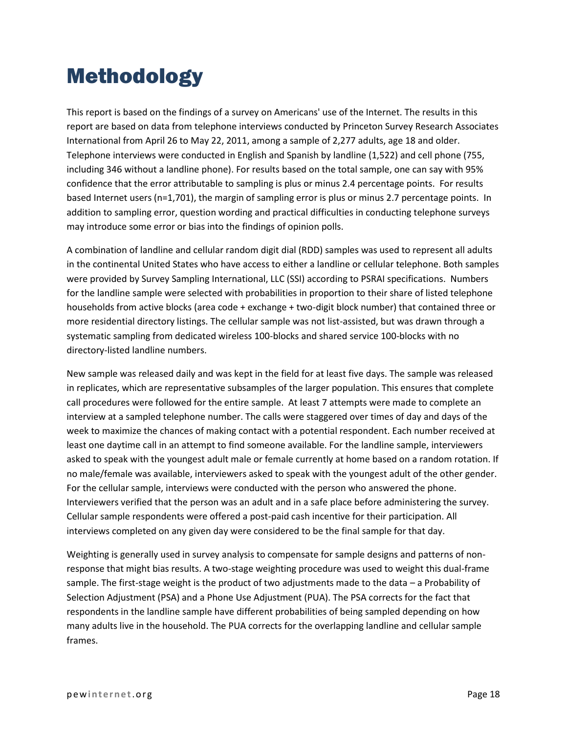# Methodology

This report is based on the findings of a survey on Americans' use of the Internet. The results in this report are based on data from telephone interviews conducted by Princeton Survey Research Associates International from April 26 to May 22, 2011, among a sample of 2,277 adults, age 18 and older. Telephone interviews were conducted in English and Spanish by landline (1,522) and cell phone (755, including 346 without a landline phone). For results based on the total sample, one can say with 95% confidence that the error attributable to sampling is plus or minus 2.4 percentage points. For results based Internet users (n=1,701), the margin of sampling error is plus or minus 2.7 percentage points. In addition to sampling error, question wording and practical difficulties in conducting telephone surveys may introduce some error or bias into the findings of opinion polls.

A combination of landline and cellular random digit dial (RDD) samples was used to represent all adults in the continental United States who have access to either a landline or cellular telephone. Both samples were provided by Survey Sampling International, LLC (SSI) according to PSRAI specifications. Numbers for the landline sample were selected with probabilities in proportion to their share of listed telephone households from active blocks (area code + exchange + two-digit block number) that contained three or more residential directory listings. The cellular sample was not list-assisted, but was drawn through a systematic sampling from dedicated wireless 100-blocks and shared service 100-blocks with no directory-listed landline numbers.

New sample was released daily and was kept in the field for at least five days. The sample was released in replicates, which are representative subsamples of the larger population. This ensures that complete call procedures were followed for the entire sample. At least 7 attempts were made to complete an interview at a sampled telephone number. The calls were staggered over times of day and days of the week to maximize the chances of making contact with a potential respondent. Each number received at least one daytime call in an attempt to find someone available. For the landline sample, interviewers asked to speak with the youngest adult male or female currently at home based on a random rotation. If no male/female was available, interviewers asked to speak with the youngest adult of the other gender. For the cellular sample, interviews were conducted with the person who answered the phone. Interviewers verified that the person was an adult and in a safe place before administering the survey. Cellular sample respondents were offered a post-paid cash incentive for their participation. All interviews completed on any given day were considered to be the final sample for that day.

Weighting is generally used in survey analysis to compensate for sample designs and patterns of nonresponse that might bias results. A two-stage weighting procedure was used to weight this dual-frame sample. The first-stage weight is the product of two adjustments made to the data – a Probability of Selection Adjustment (PSA) and a Phone Use Adjustment (PUA). The PSA corrects for the fact that respondents in the landline sample have different probabilities of being sampled depending on how many adults live in the household. The PUA corrects for the overlapping landline and cellular sample frames.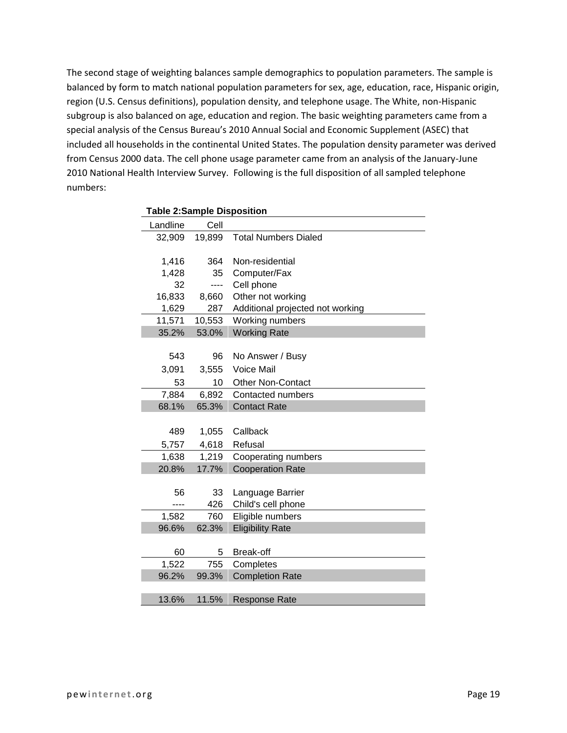The second stage of weighting balances sample demographics to population parameters. The sample is balanced by form to match national population parameters for sex, age, education, race, Hispanic origin, region (U.S. Census definitions), population density, and telephone usage. The White, non-Hispanic subgroup is also balanced on age, education and region. The basic weighting parameters came from a special analysis of the Census Bureau's 2010 Annual Social and Economic Supplement (ASEC) that included all households in the continental United States. The population density parameter was derived from Census 2000 data. The cell phone usage parameter came from an analysis of the January-June 2010 National Health Interview Survey. Following is the full disposition of all sampled telephone numbers:

| <b>Table 2:Sample Disposition</b> |        |                                  |  |  |
|-----------------------------------|--------|----------------------------------|--|--|
| Landline                          | Cell   |                                  |  |  |
| 32,909                            | 19,899 | <b>Total Numbers Dialed</b>      |  |  |
|                                   |        |                                  |  |  |
| 1,416                             | 364    | Non-residential                  |  |  |
| 1,428                             | 35     | Computer/Fax                     |  |  |
| 32                                | ----   | Cell phone                       |  |  |
| 16,833                            | 8,660  | Other not working                |  |  |
| 1,629                             | 287    | Additional projected not working |  |  |
| 11,571                            | 10,553 | Working numbers                  |  |  |
| 35.2%                             | 53.0%  | <b>Working Rate</b>              |  |  |
|                                   |        |                                  |  |  |
| 543                               | 96     | No Answer / Busy                 |  |  |
| 3,091                             | 3,555  | Voice Mail                       |  |  |
| 53                                | 10     | Other Non-Contact                |  |  |
| 7,884                             | 6,892  | Contacted numbers                |  |  |
| 68.1%                             | 65.3%  | <b>Contact Rate</b>              |  |  |
|                                   |        |                                  |  |  |
| 489                               | 1,055  | Callback                         |  |  |
| 5,757                             | 4,618  | Refusal                          |  |  |
| 1,638                             | 1,219  | Cooperating numbers              |  |  |
| 20.8%                             | 17.7%  | <b>Cooperation Rate</b>          |  |  |
|                                   |        |                                  |  |  |
| 56                                | 33     | Language Barrier                 |  |  |
|                                   | 426    | Child's cell phone               |  |  |
| 1,582                             | 760    | Eligible numbers                 |  |  |
| 96.6%                             | 62.3%  | <b>Eligibility Rate</b>          |  |  |
|                                   |        |                                  |  |  |
| 60                                | 5      | Break-off                        |  |  |
| 1,522                             | 755    | Completes                        |  |  |
| 96.2%                             | 99.3%  | <b>Completion Rate</b>           |  |  |
|                                   |        |                                  |  |  |
| 13.6%                             | 11.5%  | <b>Response Rate</b>             |  |  |